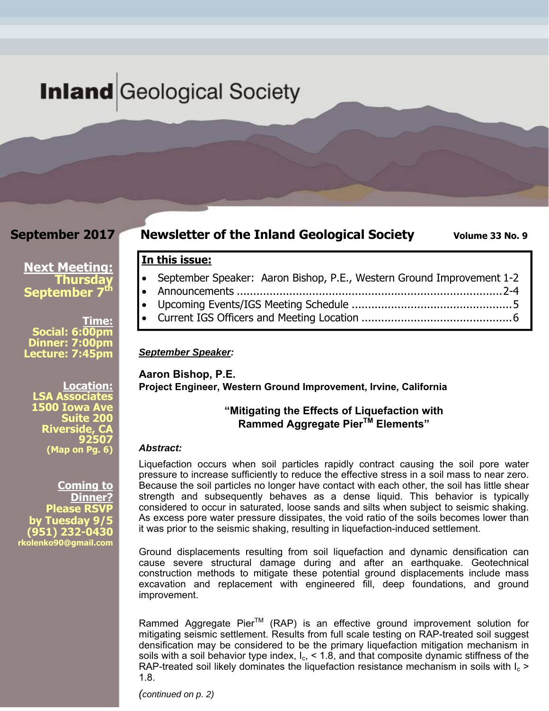# **Inland** Geological Society

# **September 2017**

# **Newsletter of the Inland Geological Society** Volume 33 No. 9

# **Next Meeting: Thursday**

**September 7<sup>th</sup>** 

**Time: Social: 6:00pm Dinner: 7:00pm Lecture: 7:45pm** 

**Location: LSA Associates 1500 Iowa Ave Suite 200 Riverside, CA 92507 (Map on Pg. 6)**

**Coming to Dinner? Please RSVP by Tuesday 9/5 (951) 232-0430 rkolenko90@gmail.com** 

- September Speaker: Aaron Bishop, P.E., Western Ground Improvement 1-2
- Announcements ................................................................................. 2-4
- Upcoming Events/IGS Meeting Schedule ................................................. 5
- Current IGS Officers and Meeting Location .............................................. 6

### *September Speaker:*

**In this issue:** 

**Aaron Bishop, P.E. Project Engineer, Western Ground Improvement, Irvine, California** 

# **"Mitigating the Effects of Liquefaction with Rammed Aggregate PierTM Elements"**

### *Abstract:*

Liquefaction occurs when soil particles rapidly contract causing the soil pore water pressure to increase sufficiently to reduce the effective stress in a soil mass to near zero. Because the soil particles no longer have contact with each other, the soil has little shear strength and subsequently behaves as a dense liquid. This behavior is typically considered to occur in saturated, loose sands and silts when subject to seismic shaking. As excess pore water pressure dissipates, the void ratio of the soils becomes lower than it was prior to the seismic shaking, resulting in liquefaction-induced settlement.

Ground displacements resulting from soil liquefaction and dynamic densification can cause severe structural damage during and after an earthquake. Geotechnical construction methods to mitigate these potential ground displacements include mass excavation and replacement with engineered fill, deep foundations, and ground improvement.

Rammed Aggregate Pier<sup>™</sup> (RAP) is an effective ground improvement solution for mitigating seismic settlement. Results from full scale testing on RAP-treated soil suggest densification may be considered to be the primary liquefaction mitigation mechanism in soils with a soil behavior type index,  $I_c$ , < 1.8, and that composite dynamic stiffness of the RAP-treated soil likely dominates the liquefaction resistance mechanism in soils with  $I_c$  > 1.8.

*(continued on p. 2)*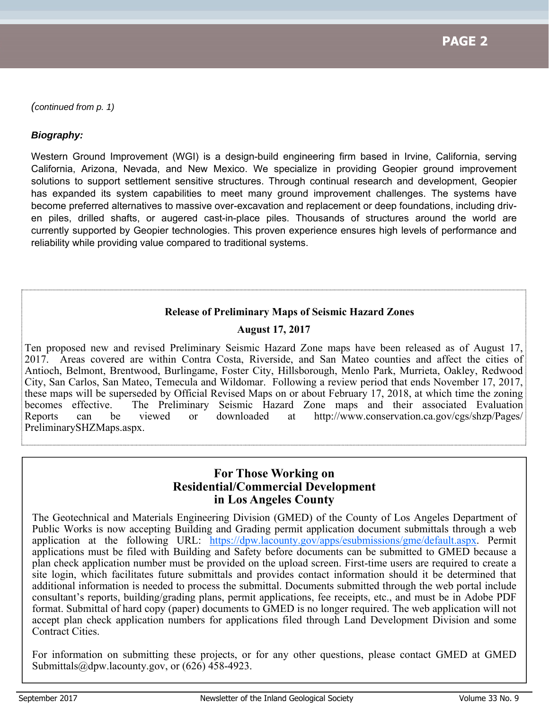*(continued from p. 1)* 

## *Biography:*

Western Ground Improvement (WGI) is a design-build engineering firm based in Irvine, California, serving California, Arizona, Nevada, and New Mexico. We specialize in providing Geopier ground improvement solutions to support settlement sensitive structures. Through continual research and development, Geopier has expanded its system capabilities to meet many ground improvement challenges. The systems have become preferred alternatives to massive over-excavation and replacement or deep foundations, including driven piles, drilled shafts, or augered cast-in-place piles. Thousands of structures around the world are currently supported by Geopier technologies. This proven experience ensures high levels of performance and reliability while providing value compared to traditional systems.

# **Release of Preliminary Maps of Seismic Hazard Zones**

# **August 17, 2017**

Ten proposed new and revised Preliminary Seismic Hazard Zone maps have been released as of August 17, 2017. Areas covered are within Contra Costa, Riverside, and San Mateo counties and affect the cities of Antioch, Belmont, Brentwood, Burlingame, Foster City, Hillsborough, Menlo Park, Murrieta, Oakley, Redwood City, San Carlos, San Mateo, Temecula and Wildomar. Following a review period that ends November 17, 2017, these maps will be superseded by Official Revised Maps on or about February 17, 2018, at which time the zoning becomes effective. The Preliminary Seismic Hazard Zone maps and their associated Evaluation Reports can be viewed or downloaded at http://www.conservation.ca.gov/cgs/shzp/Pages/ PreliminarySHZMaps.aspx.

# **For Those Working on Residential/Commercial Development in Los Angeles County**

The Geotechnical and Materials Engineering Division (GMED) of the County of Los Angeles Department of Public Works is now accepting Building and Grading permit application document submittals through a web application at the following URL: https://dpw.lacounty.gov/apps/esubmissions/gme/default.aspx. Permit applications must be filed with Building and Safety before documents can be submitted to GMED because a plan check application number must be provided on the upload screen. First-time users are required to create a site login, which facilitates future submittals and provides contact information should it be determined that additional information is needed to process the submittal. Documents submitted through the web portal include consultant's reports, building/grading plans, permit applications, fee receipts, etc., and must be in Adobe PDF format. Submittal of hard copy (paper) documents to GMED is no longer required. The web application will not accept plan check application numbers for applications filed through Land Development Division and some Contract Cities.

For information on submitting these projects, or for any other questions, please contact GMED at GMED Submittals@dpw.lacounty.gov, or (626) 458-4923.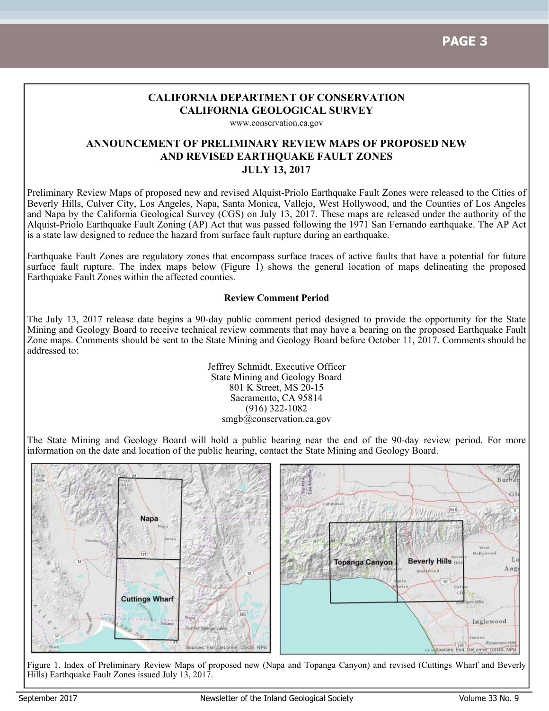# **CALIFORNIA DEPARTMENT OF CONSERVATION CALIFORNIA GEOLOGICAL SURVEY**

www.conservation.ca.gov

# **ANNOUNCEMENT OF PRELIMINARY REVIEW MAPS OF PROPOSED NEW AND REVISED EARTHQUAKE FAULT ZONES JULY 13, 2017**

Preliminary Review Maps of proposed new and revised Alquist-Priolo Earthquake Fault Zones were released to the Cities of Beverly Hills, Culver City, Los Angeles, Napa, Santa Monica, Vallejo, West Hollywood, and the Counties of Los Angeles and Napa by the California Geological Survey (CGS) on July 13, 2017. These maps are released under the authority of the Alquist-Priolo Earthquake Fault Zoning (AP) Act that was passed following the 1971 San Fernando earthquake. The AP Act is a state law designed to reduce the hazard from surface fault rupture during an earthquake.

Earthquake Fault Zones are regulatory zones that encompass surface traces of active faults that have a potential for future surface fault rupture. The index maps below (Figure 1) shows the general location of maps delineating the proposed Earthquake Fault Zones within the affected counties.

### **Review Comment Period**

The July 13, 2017 release date begins a 90-day public comment period designed to provide the opportunity for the State Mining and Geology Board to receive technical review comments that may have a bearing on the proposed Earthquake Fault Zone maps. Comments should be sent to the State Mining and Geology Board before October 11, 2017. Comments should be addressed to:

> Jeffrey Schmidt, Executive Officer State Mining and Geology Board 801 K Street, MS 20-15 Sacramento, CA 95814 (916) 322-1082 smgb@conservation.ca.gov

The State Mining and Geology Board will hold a public hearing near the end of the 90-day review period. For more information on the date and location of the public hearing, contact the State Mining and Geology Board.



Figure 1. Index of Preliminary Review Maps of proposed new (Napa and Topanga Canyon) and revised (Cuttings Wharf and Beverly Hills) Earthquake Fault Zones issued July 13, 2017.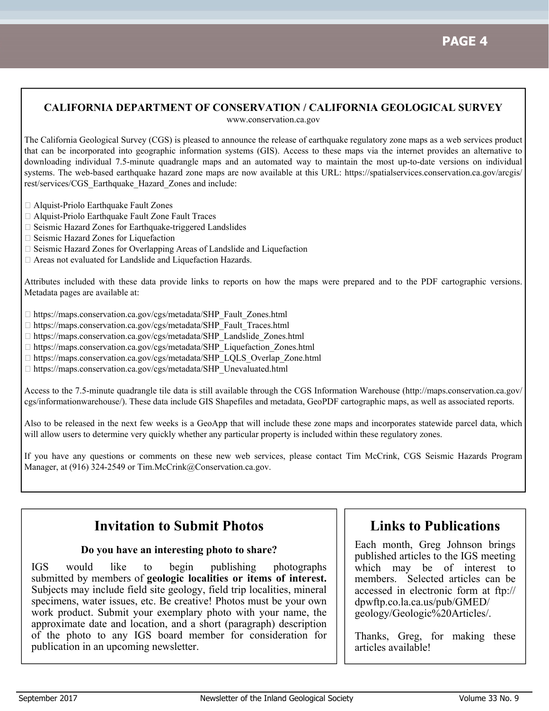# **CALIFORNIA DEPARTMENT OF CONSERVATION / CALIFORNIA GEOLOGICAL SURVEY**

www.conservation.ca.gov

The California Geological Survey (CGS) is pleased to announce the release of earthquake regulatory zone maps as a web services product that can be incorporated into geographic information systems (GIS). Access to these maps via the internet provides an alternative to downloading individual 7.5-minute quadrangle maps and an automated way to maintain the most up-to-date versions on individual systems. The web-based earthquake hazard zone maps are now available at this URL: https://spatialservices.conservation.ca.gov/arcgis/ rest/services/CGS\_Earthquake\_Hazard\_Zones and include:

- Alquist-Priolo Earthquake Fault Zones
- Alquist-Priolo Earthquake Fault Zone Fault Traces
- $\square$  Seismic Hazard Zones for Earthquake-triggered Landslides
- □ Seismic Hazard Zones for Liquefaction
- $\Box$  Seismic Hazard Zones for Overlapping Areas of Landslide and Liquefaction
- Areas not evaluated for Landslide and Liquefaction Hazards.

Attributes included with these data provide links to reports on how the maps were prepared and to the PDF cartographic versions. Metadata pages are available at:

- □ https://maps.conservation.ca.gov/cgs/metadata/SHP\_Fault\_Zones.html
- https://maps.conservation.ca.gov/cgs/metadata/SHP\_Fault\_Traces.html
- https://maps.conservation.ca.gov/cgs/metadata/SHP\_Landslide\_Zones.html
- □ https://maps.conservation.ca.gov/cgs/metadata/SHP\_Liquefaction\_Zones.html
- □ https://maps.conservation.ca.gov/cgs/metadata/SHP\_LQLS\_Overlap\_Zone.html
- □ https://maps.conservation.ca.gov/cgs/metadata/SHP\_Unevaluated.html

Access to the 7.5-minute quadrangle tile data is still available through the CGS Information Warehouse (http://maps.conservation.ca.gov/ cgs/informationwarehouse/). These data include GIS Shapefiles and metadata, GeoPDF cartographic maps, as well as associated reports.

Also to be released in the next few weeks is a GeoApp that will include these zone maps and incorporates statewide parcel data, which will allow users to determine very quickly whether any particular property is included within these regulatory zones.

If you have any questions or comments on these new web services, please contact Tim McCrink, CGS Seismic Hazards Program Manager, at (916) 324-2549 or Tim.McCrink@Conservation.ca.gov.

# **Invitation to Submit Photos**

### **Do you have an interesting photo to share?**

IGS would like to begin publishing photographs submitted by members of **geologic localities or items of interest.**  Subjects may include field site geology, field trip localities, mineral specimens, water issues, etc. Be creative! Photos must be your own work product. Submit your exemplary photo with your name, the approximate date and location, and a short (paragraph) description of the photo to any IGS board member for consideration for publication in an upcoming newsletter.

# **Links to Publications**

Each month, Greg Johnson brings published articles to the IGS meeting which may be of interest to members. Selected articles can be accessed in electronic form at ftp:// dpwftp.co.la.ca.us/pub/GMED/ geology/Geologic%20Articles/.

Thanks, Greg, for making these articles available!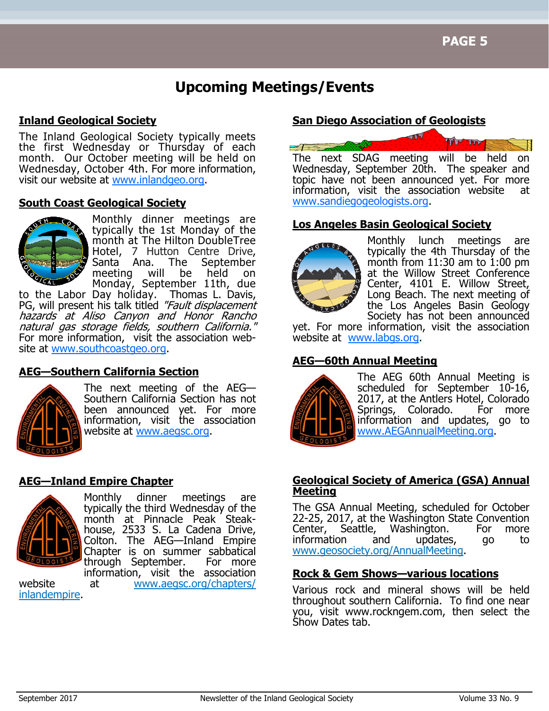# **Upcoming Meetings/Events**

# **Inland Geological Society**

The Inland Geological Society typically meets the first Wednesday or Thursday of each month. Our October meeting will be held on Wednesday, October 4th. For more information, visit our website at www.inlandgeo.org.

# **South Coast Geological Society**



Monthly dinner meetings are typically the 1st Monday of the month at The Hilton DoubleTree Hotel, 7 Hutton Centre Drive, Santa Ana. The September meeting will be held on Monday, September 11th, due

to the Labor Day holiday. Thomas L. Davis, PG, will present his talk titled "Fault displacement hazards at Aliso Canyon and Honor Rancho natural gas storage fields, southern California." For more information, visit the association website at www.southcoastgeo.org.

# **AEG—Southern California Section**



The next meeting of the AEG— Southern California Section has not been announced yet. For more information, visit the association website at www.aegsc.org.

# **AEG—Inland Empire Chapter**



Monthly dinner meetings are typically the third Wednesday of the month at Pinnacle Peak Steakhouse, 2533 S. La Cadena Drive, Colton. The AEG—Inland Empire Chapter is on summer sabbatical through September. For more information, visit the association

website at www.aegsc.org/chapters/ inlandempire.

# **San Diego Association of Geologists**



topic have not been announced yet. For more information, visit the association website at www.sandiegogeologists.org.

# **Los Angeles Basin Geological Society**



Monthly lunch meetings are typically the 4th Thursday of the month from  $11:30$  am to  $1:00$  pm at the Willow Street Conference Center, 4101 E. Willow Street, Long Beach. The next meeting of the Los Angeles Basin Geology Society has not been announced

yet. For more information, visit the association website at www.labgs.org.

# **AEG—60th Annual Meeting**



The AEG 60th Annual Meeting is scheduled for September 10-16, 2017, at the Antlers Hotel, Colorado Springs, Colorado. For more information and updates, go to www.AEGAnnualMeeting.org.

# **Geological Society of America (GSA) Annual Meeting**

The GSA Annual Meeting, scheduled for October 22-25, 2017, at the Washington State Convention Center, Seattle, Washington. For more information and updates, go to www.geosociety.org/AnnualMeeting.

# **Rock & Gem Shows—various locations**

Various rock and mineral shows will be held throughout southern California. To find one near you, visit www.rockngem.com, then select the Show Dates tab.